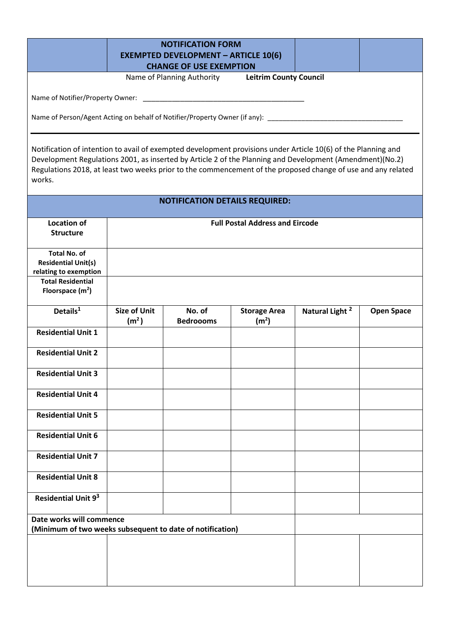|                                                                                                                                                                                                                                                                                                                                                     |                                          | <b>NOTIFICATION FORM</b><br><b>EXEMPTED DEVELOPMENT - ARTICLE 10(6)</b><br><b>CHANGE OF USE EXEMPTION</b> | Name of Planning Authority Leitrim County Council |                            |                   |
|-----------------------------------------------------------------------------------------------------------------------------------------------------------------------------------------------------------------------------------------------------------------------------------------------------------------------------------------------------|------------------------------------------|-----------------------------------------------------------------------------------------------------------|---------------------------------------------------|----------------------------|-------------------|
|                                                                                                                                                                                                                                                                                                                                                     |                                          |                                                                                                           |                                                   |                            |                   |
| Name of Person/Agent Acting on behalf of Notifier/Property Owner (if any): ___________________________________                                                                                                                                                                                                                                      |                                          |                                                                                                           |                                                   |                            |                   |
| Notification of intention to avail of exempted development provisions under Article 10(6) of the Planning and<br>Development Regulations 2001, as inserted by Article 2 of the Planning and Development (Amendment)(No.2)<br>Regulations 2018, at least two weeks prior to the commencement of the proposed change of use and any related<br>works. |                                          |                                                                                                           |                                                   |                            |                   |
|                                                                                                                                                                                                                                                                                                                                                     |                                          |                                                                                                           | <b>NOTIFICATION DETAILS REQUIRED:</b>             |                            |                   |
| <b>Location of</b><br><b>Structure</b>                                                                                                                                                                                                                                                                                                              |                                          |                                                                                                           | <b>Full Postal Address and Eircode</b>            |                            |                   |
| <b>Total No. of</b><br><b>Residential Unit(s)</b><br>relating to exemption                                                                                                                                                                                                                                                                          |                                          |                                                                                                           |                                                   |                            |                   |
| <b>Total Residential</b><br>Floorspace $(m2)$                                                                                                                                                                                                                                                                                                       |                                          |                                                                                                           |                                                   |                            |                   |
| Details $1$                                                                                                                                                                                                                                                                                                                                         | <b>Size of Unit</b><br>(m <sup>2</sup> ) | No. of<br><b>Bedroooms</b>                                                                                | <b>Storage Area</b><br>(m <sup>2</sup> )          | Natural Light <sup>2</sup> | <b>Open Space</b> |
| <b>Residential Unit 1</b>                                                                                                                                                                                                                                                                                                                           |                                          |                                                                                                           |                                                   |                            |                   |
| <b>Residential Unit 2</b>                                                                                                                                                                                                                                                                                                                           |                                          |                                                                                                           |                                                   |                            |                   |
| <b>Residential Unit 3</b>                                                                                                                                                                                                                                                                                                                           |                                          |                                                                                                           |                                                   |                            |                   |
| <b>Residential Unit 4</b>                                                                                                                                                                                                                                                                                                                           |                                          |                                                                                                           |                                                   |                            |                   |
| <b>Residential Unit 5</b>                                                                                                                                                                                                                                                                                                                           |                                          |                                                                                                           |                                                   |                            |                   |
| <b>Residential Unit 6</b>                                                                                                                                                                                                                                                                                                                           |                                          |                                                                                                           |                                                   |                            |                   |
| <b>Residential Unit 7</b>                                                                                                                                                                                                                                                                                                                           |                                          |                                                                                                           |                                                   |                            |                   |
| <b>Residential Unit 8</b>                                                                                                                                                                                                                                                                                                                           |                                          |                                                                                                           |                                                   |                            |                   |
| Residential Unit 93                                                                                                                                                                                                                                                                                                                                 |                                          |                                                                                                           |                                                   |                            |                   |
| Date works will commence<br>(Minimum of two weeks subsequent to date of notification)                                                                                                                                                                                                                                                               |                                          |                                                                                                           |                                                   |                            |                   |
|                                                                                                                                                                                                                                                                                                                                                     |                                          |                                                                                                           |                                                   |                            |                   |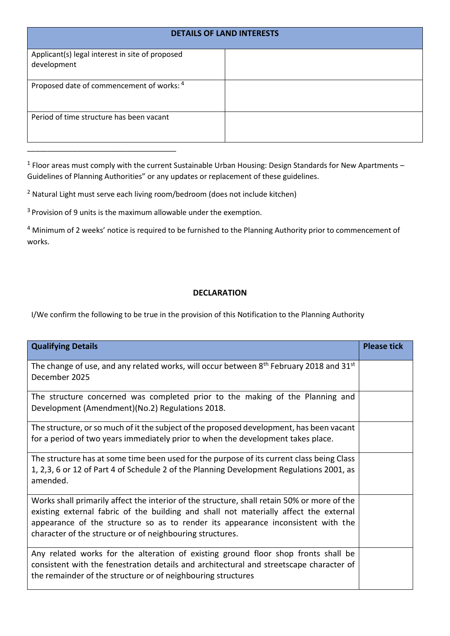| <b>DETAILS OF LAND INTERESTS</b>                               |  |
|----------------------------------------------------------------|--|
| Applicant(s) legal interest in site of proposed<br>development |  |
| Proposed date of commencement of works: 4                      |  |
| Period of time structure has been vacant                       |  |

 $<sup>1</sup>$  Floor areas must comply with the current Sustainable Urban Housing: Design Standards for New Apartments –</sup> Guidelines of Planning Authorities" or any updates or replacement of these guidelines.

<sup>2</sup> Natural Light must serve each living room/bedroom (does not include kitchen)

<sup>3</sup> Provision of 9 units is the maximum allowable under the exemption.

<sup>4</sup> Minimum of 2 weeks' notice is required to be furnished to the Planning Authority prior to commencement of works.

## **DECLARATION**

I/We confirm the following to be true in the provision of this Notification to the Planning Authority

| <b>Qualifying Details</b>                                                                                                                                                                                                                                                                                                             | <b>Please tick</b> |
|---------------------------------------------------------------------------------------------------------------------------------------------------------------------------------------------------------------------------------------------------------------------------------------------------------------------------------------|--------------------|
| The change of use, and any related works, will occur between $8th$ February 2018 and 31st<br>December 2025                                                                                                                                                                                                                            |                    |
| The structure concerned was completed prior to the making of the Planning and<br>Development (Amendment)(No.2) Regulations 2018.                                                                                                                                                                                                      |                    |
| The structure, or so much of it the subject of the proposed development, has been vacant<br>for a period of two years immediately prior to when the development takes place.                                                                                                                                                          |                    |
| The structure has at some time been used for the purpose of its current class being Class<br>1, 2,3, 6 or 12 of Part 4 of Schedule 2 of the Planning Development Regulations 2001, as<br>amended.                                                                                                                                     |                    |
| Works shall primarily affect the interior of the structure, shall retain 50% or more of the<br>existing external fabric of the building and shall not materially affect the external<br>appearance of the structure so as to render its appearance inconsistent with the<br>character of the structure or of neighbouring structures. |                    |
| Any related works for the alteration of existing ground floor shop fronts shall be<br>consistent with the fenestration details and architectural and streetscape character of<br>the remainder of the structure or of neighbouring structures                                                                                         |                    |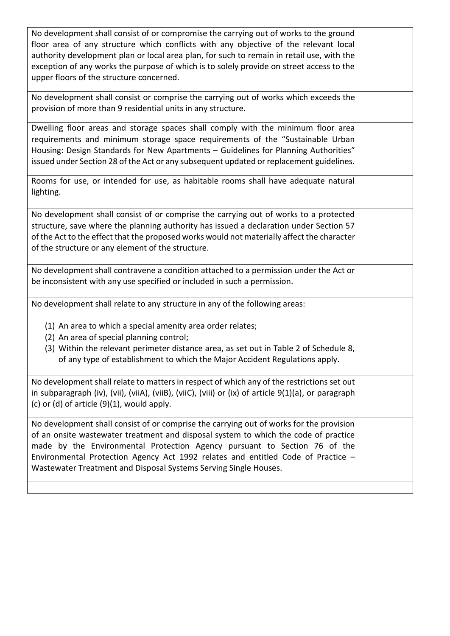| No development shall consist of or compromise the carrying out of works to the ground<br>floor area of any structure which conflicts with any objective of the relevant local<br>authority development plan or local area plan, for such to remain in retail use, with the<br>exception of any works the purpose of which is to solely provide on street access to the<br>upper floors of the structure concerned.  |  |
|---------------------------------------------------------------------------------------------------------------------------------------------------------------------------------------------------------------------------------------------------------------------------------------------------------------------------------------------------------------------------------------------------------------------|--|
| No development shall consist or comprise the carrying out of works which exceeds the<br>provision of more than 9 residential units in any structure.                                                                                                                                                                                                                                                                |  |
| Dwelling floor areas and storage spaces shall comply with the minimum floor area<br>requirements and minimum storage space requirements of the "Sustainable Urban<br>Housing: Design Standards for New Apartments - Guidelines for Planning Authorities"<br>issued under Section 28 of the Act or any subsequent updated or replacement guidelines.                                                                 |  |
| Rooms for use, or intended for use, as habitable rooms shall have adequate natural<br>lighting.                                                                                                                                                                                                                                                                                                                     |  |
| No development shall consist of or comprise the carrying out of works to a protected<br>structure, save where the planning authority has issued a declaration under Section 57<br>of the Act to the effect that the proposed works would not materially affect the character<br>of the structure or any element of the structure.                                                                                   |  |
| No development shall contravene a condition attached to a permission under the Act or<br>be inconsistent with any use specified or included in such a permission.                                                                                                                                                                                                                                                   |  |
| No development shall relate to any structure in any of the following areas:<br>(1) An area to which a special amenity area order relates;<br>(2) An area of special planning control;                                                                                                                                                                                                                               |  |
| (3) Within the relevant perimeter distance area, as set out in Table 2 of Schedule 8,<br>of any type of establishment to which the Major Accident Regulations apply.                                                                                                                                                                                                                                                |  |
| No development shall relate to matters in respect of which any of the restrictions set out<br>in subparagraph (iv), (vii), (viiA), (viiB), (viiC), (viii) or (ix) of article $9(1)(a)$ , or paragraph<br>(c) or (d) of article $(9)(1)$ , would apply.                                                                                                                                                              |  |
| No development shall consist of or comprise the carrying out of works for the provision<br>of an onsite wastewater treatment and disposal system to which the code of practice<br>made by the Environmental Protection Agency pursuant to Section 76 of the<br>Environmental Protection Agency Act 1992 relates and entitled Code of Practice -<br>Wastewater Treatment and Disposal Systems Serving Single Houses. |  |
|                                                                                                                                                                                                                                                                                                                                                                                                                     |  |